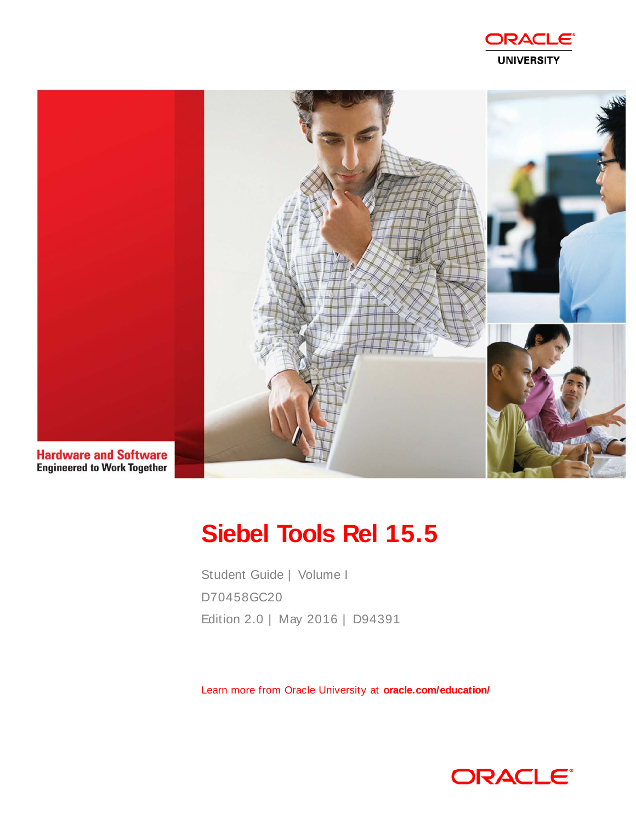



# **Siebel Tools Rel 15.5**

Student Guide | Volume I D70458GC20 Edition 2.0 | May 2016 | D94391

Learn more from Oracle University at **oracle.com/education/**

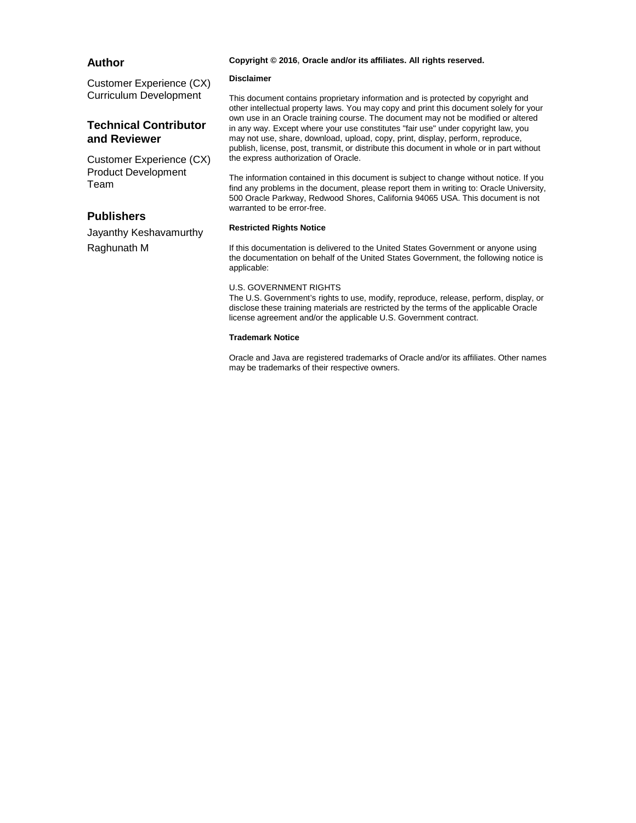#### **Author**

#### Copyright © 2016, Oracle and/or its affiliates. All rights reserved.

#### **Customer Experience (CX) Curriculum Development**

#### **Technical Contributor** and Reviewer

**Customer Experience (CX) Product Development** Team

#### **Publishers**

Jayanthy Keshavamurthy Raghunath M

#### **Disclaimer**

This document contains proprietary information and is protected by copyright and other intellectual property laws. You may copy and print this document solely for your own use in an Oracle training course. The document may not be modified or altered in any way. Except where your use constitutes "fair use" under copyright law, you may not use, share, download, upload, copy, print, display, perform, reproduce, publish, license, post, transmit, or distribute this document in whole or in part without the express authorization of Oracle.

The information contained in this document is subject to change without notice. If you find any problems in the document, please report them in writing to: Oracle University, 500 Oracle Parkway, Redwood Shores, California 94065 USA. This document is not warranted to be error-free.

#### **Restricted Rights Notice**

If this documentation is delivered to the United States Government or anyone using the documentation on behalf of the United States Government, the following notice is applicable:

#### **U.S. GOVERNMENT RIGHTS**

The U.S. Government's rights to use, modify, reproduce, release, perform, display, or disclose these training materials are restricted by the terms of the applicable Oracle license agreement and/or the applicable U.S. Government contract.

#### **Trademark Notice**

Oracle and Java are registered trademarks of Oracle and/or its affiliates. Other names may be trademarks of their respective owners.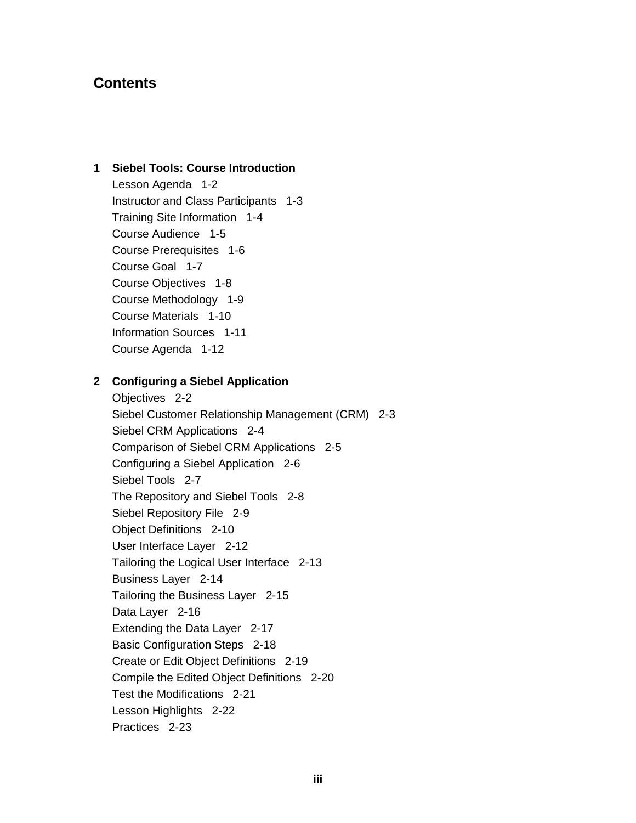## **Contents**

## 1 Siebel Tools: Course Introduction

Lesson Agenda 1-2 Instructor and Class Participants 1-3 Training Site Information 1-4 Course Audience 1-5 Course Prerequisites 1-6 Course Goal 1-7 Course Objectives 1-8 Course Methodology 1-9 Course Materials 1-10 **Information Sources 1-11** Course Agenda 1-12

## 2 Configuring a Siebel Application

Objectives 2-2 Siebel Customer Relationship Management (CRM) 2-3 Siebel CRM Applications 2-4 Comparison of Siebel CRM Applications 2-5 Configuring a Siebel Application 2-6 Siebel Tools 2-7 The Repository and Siebel Tools 2-8 Siebel Repository File 2-9 Object Definitions 2-10 User Interface Layer 2-12 Tailoring the Logical User Interface 2-13 **Business Layer 2-14** Tailoring the Business Layer 2-15 Data Layer 2-16 Extending the Data Layer 2-17 Basic Configuration Steps 2-18 Create or Edit Object Definitions 2-19 Compile the Edited Object Definitions 2-20 Test the Modifications 2-21 Lesson Highlights 2-22 Practices 2-23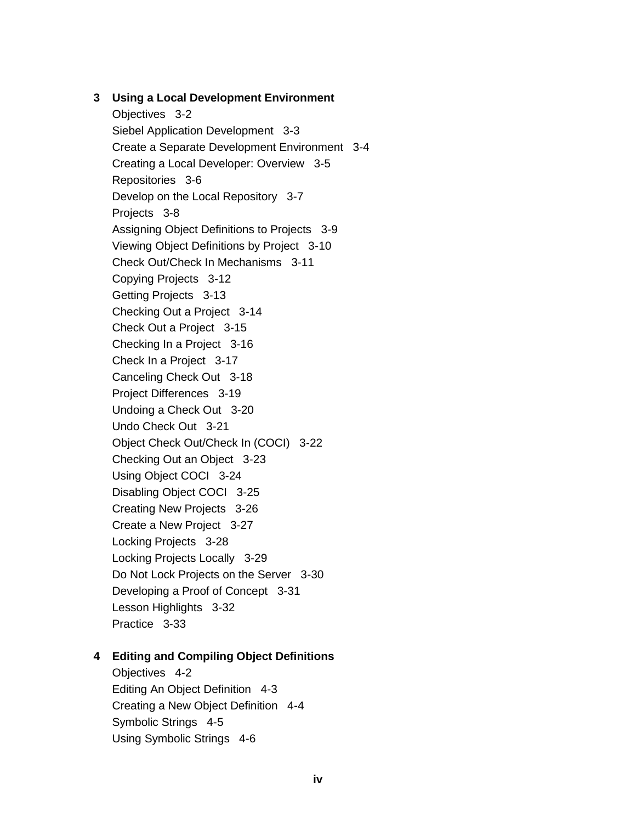## 3 Using a Local Development Environment

Objectives 3-2 Siebel Application Development 3-3 Create a Separate Development Environment 3-4 Creating a Local Developer: Overview 3-5 Repositories 3-6 Develop on the Local Repository 3-7 Projects 3-8 Assigning Object Definitions to Projects 3-9 Viewing Object Definitions by Project 3-10 Check Out/Check In Mechanisms 3-11 Copying Projects 3-12 Getting Projects 3-13 Checking Out a Project 3-14 Check Out a Project 3-15 Checking In a Project 3-16 Check In a Project 3-17 Canceling Check Out 3-18 Project Differences 3-19 Undoing a Check Out 3-20 Undo Check Out 3-21 Object Check Out/Check In (COCI) 3-22 Checking Out an Object 3-23 Using Object COCI 3-24 Disabling Object COCI 3-25 Creating New Projects 3-26 Create a New Project 3-27 Locking Projects 3-28 Locking Projects Locally 3-29 Do Not Lock Projects on the Server 3-30 Developing a Proof of Concept 3-31 Lesson Highlights 3-32 Practice 3-33

#### 4 Editing and Compiling Object Definitions

Objectives 4-2 Editing An Object Definition 4-3 Creating a New Object Definition 4-4 Symbolic Strings 4-5 Using Symbolic Strings 4-6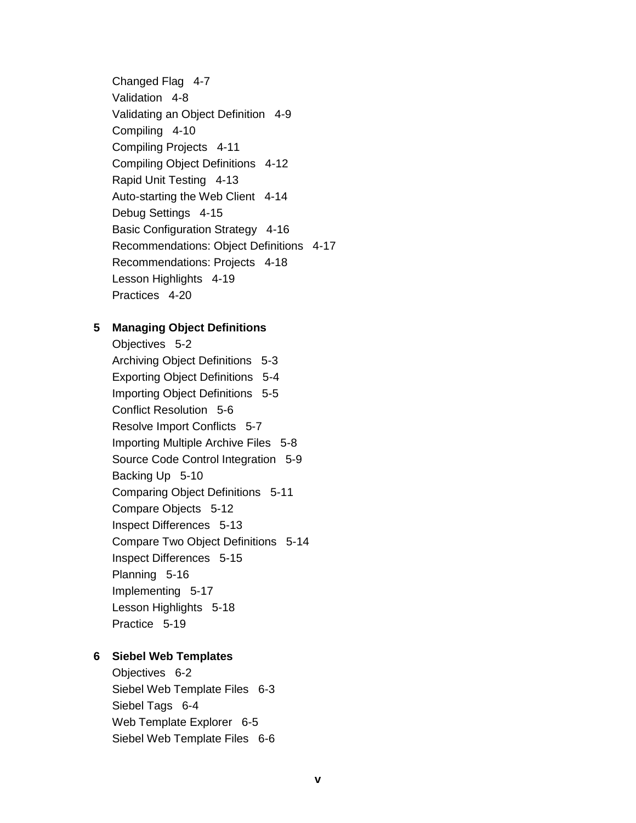Changed Flag 4-7 Validation 4-8 Validating an Object Definition 4-9 Compiling 4-10 Compiling Projects 4-11 Compiling Object Definitions 4-12 Rapid Unit Testing 4-13 Auto-starting the Web Client 4-14 Debug Settings 4-15 Basic Configuration Strategy 4-16 Recommendations: Object Definitions 4-17 Recommendations: Projects 4-18 Lesson Highlights 4-19 Practices 4-20

## 5 Managing Object Definitions

Objectives 5-2 Archiving Object Definitions 5-3 Exporting Object Definitions 5-4 Importing Object Definitions 5-5 Conflict Resolution 5-6 Resolve Import Conflicts 5-7 Importing Multiple Archive Files 5-8 Source Code Control Integration 5-9 Backing Up 5-10 Comparing Object Definitions 5-11 Compare Objects 5-12 Inspect Differences 5-13 Compare Two Object Definitions 5-14 Inspect Differences 5-15 Planning 5-16 Implementing 5-17 Lesson Highlights 5-18 Practice 5-19

## 6 Siebel Web Templates

Objectives 6-2 Siebel Web Template Files 6-3 Siebel Tags 6-4 Web Template Explorer 6-5 Siebel Web Template Files 6-6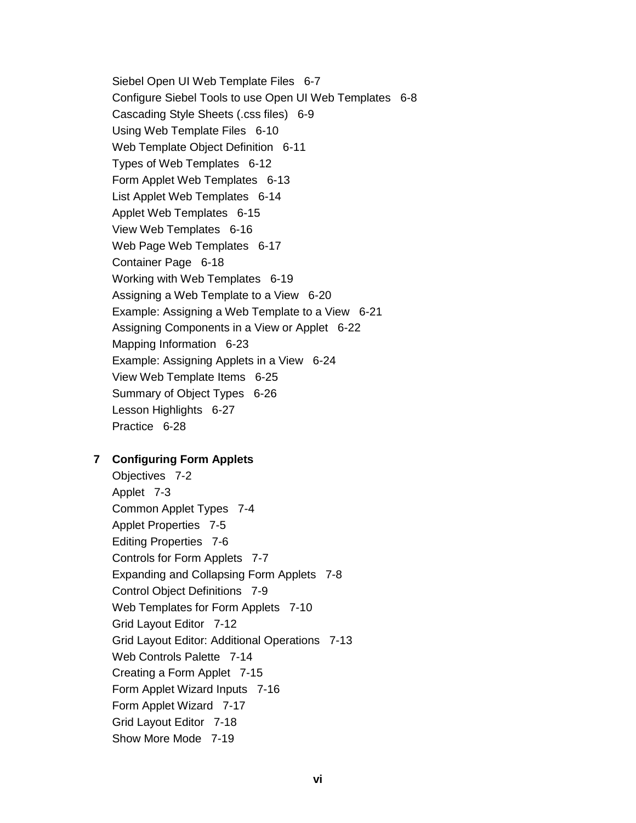Siebel Open UI Web Template Files 6-7 Configure Siebel Tools to use Open UI Web Templates 6-8 Cascading Style Sheets (.css files) 6-9 Using Web Template Files 6-10 Web Template Object Definition 6-11 Types of Web Templates 6-12 Form Applet Web Templates 6-13 List Applet Web Templates 6-14 Applet Web Templates 6-15 View Web Templates 6-16 Web Page Web Templates 6-17 Container Page 6-18 Working with Web Templates 6-19 Assigning a Web Template to a View 6-20 Example: Assigning a Web Template to a View 6-21 Assigning Components in a View or Applet 6-22 Mapping Information 6-23 Example: Assigning Applets in a View 6-24 View Web Template Items 6-25 Summary of Object Types 6-26 Lesson Highlights 6-27 Practice 6-28

#### 7 Configuring Form Applets

Objectives 7-2 Applet 7-3 Common Applet Types 7-4 Applet Properties 7-5 **Editing Properties 7-6** Controls for Form Applets 7-7 Expanding and Collapsing Form Applets 7-8 **Control Object Definitions 7-9** Web Templates for Form Applets 7-10 Grid Layout Editor 7-12 Grid Layout Editor: Additional Operations 7-13 Web Controls Palette 7-14 Creating a Form Applet 7-15 Form Applet Wizard Inputs 7-16 Form Applet Wizard 7-17 Grid Layout Editor 7-18 Show More Mode 7-19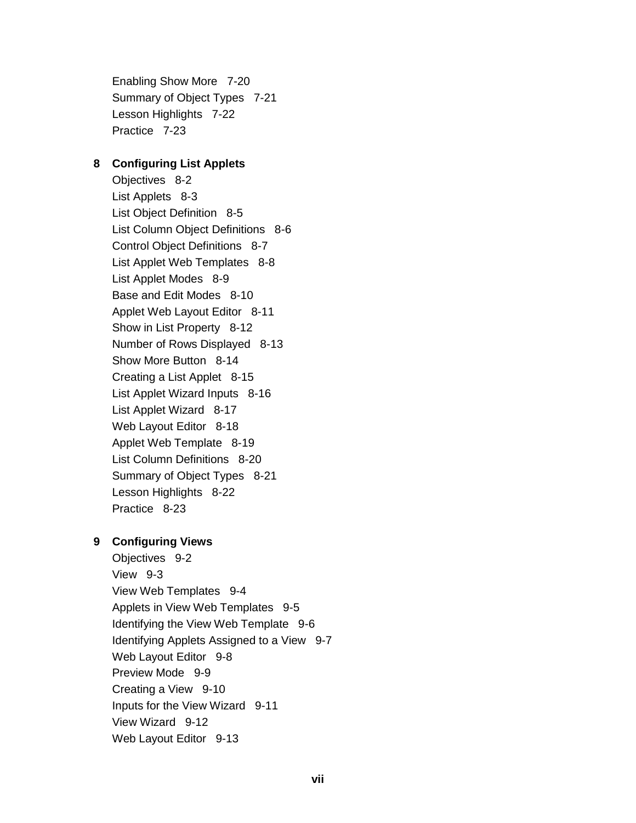Enabling Show More 7-20 Summary of Object Types 7-21 Lesson Highlights 7-22 Practice 7-23

#### 8 Configuring List Applets

Objectives 8-2 List Applets 8-3 List Object Definition 8-5 List Column Object Definitions 8-6 Control Object Definitions 8-7 List Applet Web Templates 8-8 List Applet Modes 8-9 Base and Edit Modes 8-10 Applet Web Layout Editor 8-11 Show in List Property 8-12 Number of Rows Displayed 8-13 Show More Button 8-14 Creating a List Applet 8-15 List Applet Wizard Inputs 8-16 List Applet Wizard 8-17 Web Layout Editor 8-18 Applet Web Template 8-19 List Column Definitions 8-20 Summary of Object Types 8-21 Lesson Highlights 8-22 Practice 8-23

## 9 Configuring Views

Objectives 9-2 View 9-3 View Web Templates 9-4 Applets in View Web Templates 9-5 Identifying the View Web Template 9-6 Identifying Applets Assigned to a View 9-7 Web Layout Editor 9-8 Preview Mode 9-9 Creating a View 9-10 Inputs for the View Wizard 9-11 View Wizard 9-12 Web Layout Editor 9-13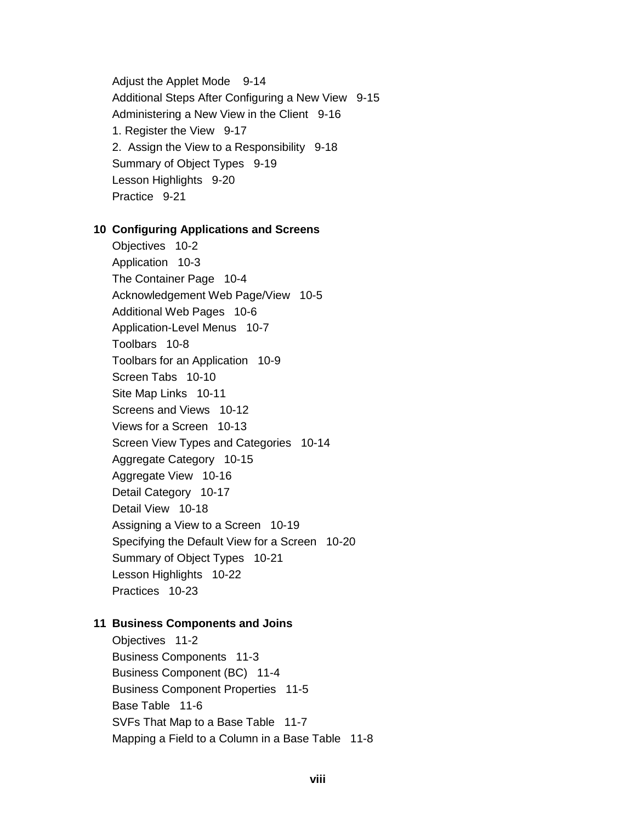Adjust the Applet Mode 9-14 Additional Steps After Configuring a New View 9-15 Administering a New View in the Client 9-16 1. Register the View 9-17 2. Assign the View to a Responsibility 9-18 Summary of Object Types 9-19 Lesson Highlights 9-20 Practice 9-21

#### 10 Configuring Applications and Screens

Objectives 10-2 Application 10-3 The Container Page 10-4 Acknowledgement Web Page/View 10-5 Additional Web Pages 10-6 Application-Level Menus 10-7 Toolbars 10-8 Toolbars for an Application 10-9 Screen Tabs 10-10 Site Map Links 10-11 Screens and Views 10-12 Views for a Screen 10-13 Screen View Types and Categories 10-14 Aggregate Category 10-15 Aggregate View 10-16 Detail Category 10-17 Detail View 10-18 Assigning a View to a Screen 10-19 Specifying the Default View for a Screen 10-20 Summary of Object Types 10-21 Lesson Highlights 10-22 Practices 10-23

#### 11 Business Components and Joins

Objectives 11-2 **Business Components 11-3** Business Component (BC) 11-4 **Business Component Properties 11-5** Base Table 11-6 SVFs That Map to a Base Table 11-7 Mapping a Field to a Column in a Base Table 11-8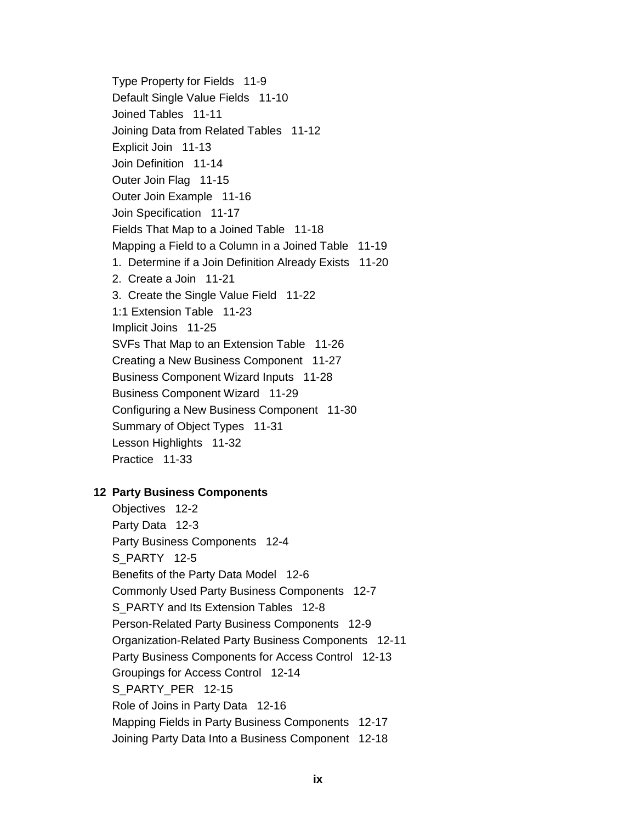Type Property for Fields 11-9 Default Single Value Fields 11-10 Joined Tables 11-11 Joining Data from Related Tables 11-12 Explicit Join 11-13 Join Definition 11-14 Outer Join Flag 11-15 Outer Join Example 11-16 Join Specification 11-17 Fields That Map to a Joined Table 11-18 Mapping a Field to a Column in a Joined Table 11-19 1. Determine if a Join Definition Already Exists 11-20 2. Create a Join 11-21 3. Create the Single Value Field 11-22 1:1 Extension Table 11-23 Implicit Joins 11-25 SVFs That Map to an Extension Table 11-26 Creating a New Business Component 11-27 Business Component Wizard Inputs 11-28 Business Component Wizard 11-29 Configuring a New Business Component 11-30 Summary of Object Types 11-31 Lesson Highlights 11-32 Practice 11-33

#### **12 Party Business Components**

Objectives 12-2 Party Data 12-3 Party Business Components 12-4 S PARTY 12-5 Benefits of the Party Data Model 12-6 Commonly Used Party Business Components 12-7 S PARTY and Its Extension Tables 12-8 Person-Related Party Business Components 12-9 Organization-Related Party Business Components 12-11 Party Business Components for Access Control 12-13 Groupings for Access Control 12-14 S PARTY PER 12-15 Role of Joins in Party Data 12-16 Mapping Fields in Party Business Components 12-17 Joining Party Data Into a Business Component 12-18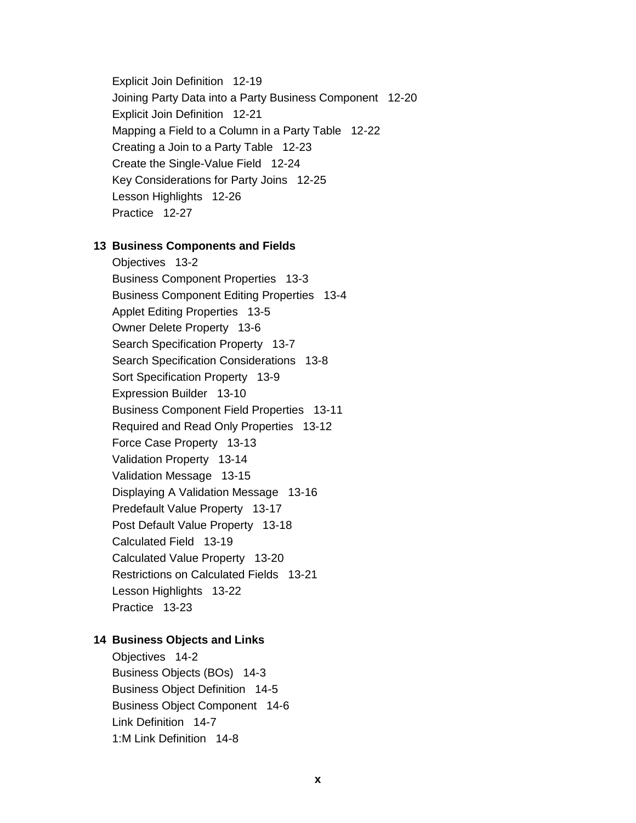Explicit Join Definition 12-19 Joining Party Data into a Party Business Component 12-20 Explicit Join Definition 12-21 Mapping a Field to a Column in a Party Table 12-22 Creating a Join to a Party Table 12-23 Create the Single-Value Field 12-24 Key Considerations for Party Joins 12-25 Lesson Highlights 12-26 Practice 12-27

#### 13 Business Components and Fields

Objectives 13-2 **Business Component Properties 13-3 Business Component Editing Properties 13-4 Applet Editing Properties 13-5** Owner Delete Property 13-6 Search Specification Property 13-7 Search Specification Considerations 13-8 Sort Specification Property 13-9 Expression Builder 13-10 **Business Component Field Properties 13-11** Required and Read Only Properties 13-12 Force Case Property 13-13 Validation Property 13-14 Validation Message 13-15 Displaying A Validation Message 13-16 Predefault Value Property 13-17 Post Default Value Property 13-18 Calculated Field 13-19 Calculated Value Property 13-20 Restrictions on Calculated Fields 13-21 Lesson Highlights 13-22 Practice 13-23

#### **14 Business Objects and Links**

Objectives 14-2 Business Objects (BOs) 14-3 **Business Object Definition 14-5 Business Object Component 14-6** Link Definition 14-7 1:M Link Definition 14-8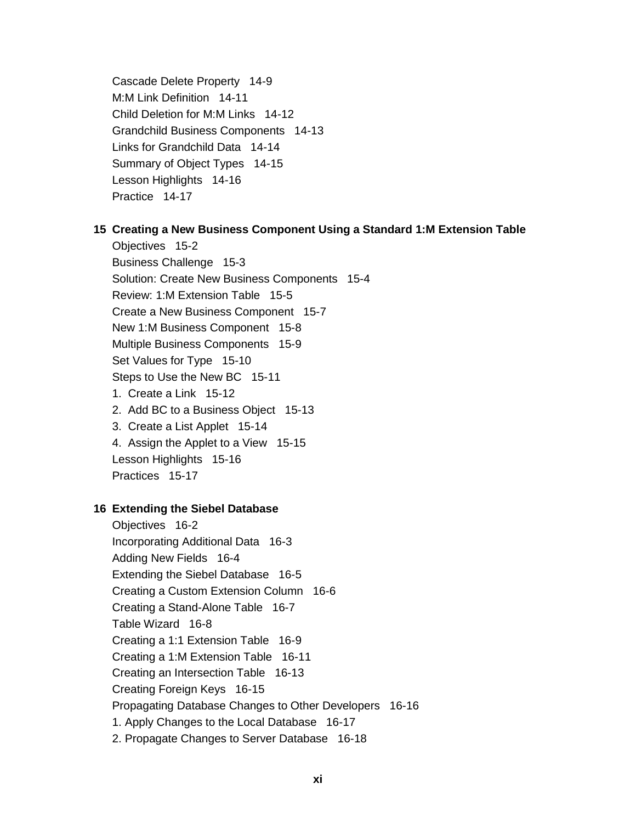Cascade Delete Property 14-9 M:M Link Definition 14-11 Child Deletion for M:M Links 14-12 Grandchild Business Components 14-13 Links for Grandchild Data 14-14 Summary of Object Types 14-15 Lesson Highlights 14-16 Practice 14-17

## 15 Creating a New Business Component Using a Standard 1: M Extension Table

Objectives 15-2 Business Challenge 15-3 Solution: Create New Business Components 15-4 Review: 1:M Extension Table 15-5 Create a New Business Component 15-7 New 1:M Business Component 15-8 Multiple Business Components 15-9 Set Values for Type 15-10 Steps to Use the New BC 15-11 1. Create a Link 15-12 2. Add BC to a Business Object 15-13 3. Create a List Applet 15-14 4. Assign the Applet to a View 15-15 Lesson Highlights 15-16

Practices 15-17

## **16 Extending the Siebel Database**

Objectives 16-2 Incorporating Additional Data 16-3 Adding New Fields 16-4 Extending the Siebel Database 16-5 Creating a Custom Extension Column 16-6 Creating a Stand-Alone Table 16-7 Table Wizard 16-8 Creating a 1:1 Extension Table 16-9 Creating a 1:M Extension Table 16-11 Creating an Intersection Table 16-13 Creating Foreign Keys 16-15 Propagating Database Changes to Other Developers 16-16 1. Apply Changes to the Local Database 16-17 2. Propagate Changes to Server Database 16-18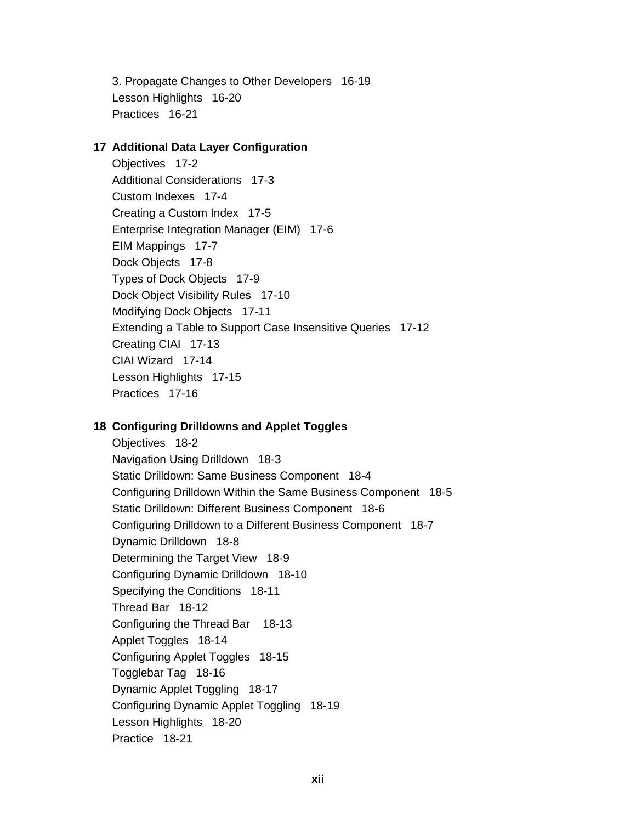3. Propagate Changes to Other Developers 16-19 Lesson Highlights 16-20 Practices 16-21

#### 17 Additional Data Layer Configuration

Objectives 17-2 **Additional Considerations 17-3** Custom Indexes 17-4 Creating a Custom Index 17-5 Enterprise Integration Manager (EIM) 17-6 EIM Mappings 17-7 Dock Objects 17-8 Types of Dock Objects 17-9 Dock Object Visibility Rules 17-10 Modifying Dock Objects 17-11 Extending a Table to Support Case Insensitive Queries 17-12 Creating CIAI 17-13 CIAI Wizard 17-14 Lesson Highlights 17-15 Practices 17-16

## 18 Configuring Drilldowns and Applet Toggles

Objectives 18-2 Navigation Using Drilldown 18-3 Static Drilldown: Same Business Component 18-4 Configuring Drilldown Within the Same Business Component 18-5 Static Drilldown: Different Business Component 18-6 Configuring Drilldown to a Different Business Component 18-7 Dynamic Drilldown 18-8 Determining the Target View 18-9 Configuring Dynamic Drilldown 18-10 Specifying the Conditions 18-11 Thread Bar 18-12 Configuring the Thread Bar 18-13 Applet Toggles 18-14 Configuring Applet Toggles 18-15 Togglebar Tag 18-16 Dynamic Applet Toggling 18-17 Configuring Dynamic Applet Toggling 18-19 Lesson Highlights 18-20 Practice 18-21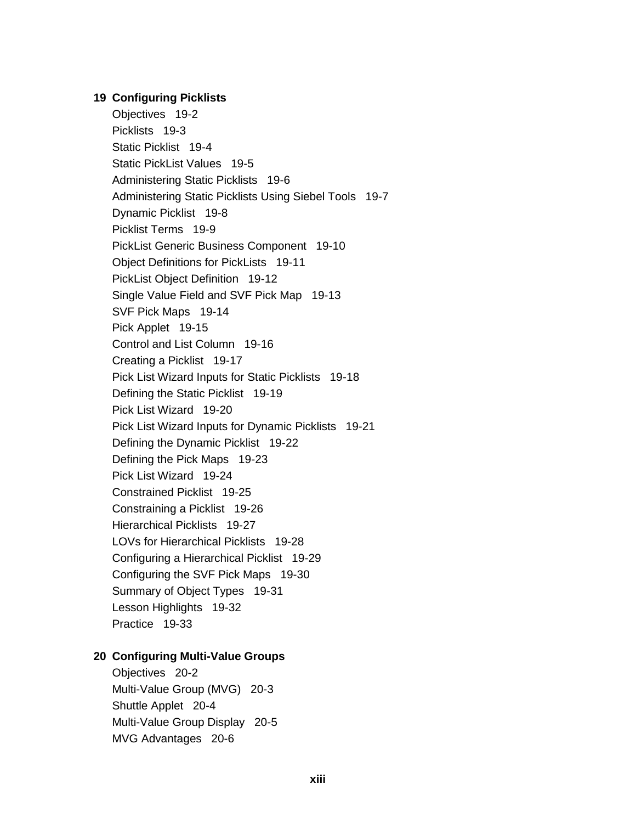#### **19 Configuring Picklists**

Objectives 19-2 Picklists 19-3 Static Picklist 19-4 Static PickList Values 19-5 Administering Static Picklists 19-6 Administering Static Picklists Using Siebel Tools 19-7 Dynamic Picklist 19-8 Picklist Terms 19-9 PickList Generic Business Component 19-10 Object Definitions for PickLists 19-11 PickList Object Definition 19-12 Single Value Field and SVF Pick Map 19-13 SVF Pick Maps 19-14 Pick Applet 19-15 Control and List Column 19-16 Creating a Picklist 19-17 Pick List Wizard Inputs for Static Picklists 19-18 Defining the Static Picklist 19-19 Pick List Wizard 19-20 Pick List Wizard Inputs for Dynamic Picklists 19-21 Defining the Dynamic Picklist 19-22 Defining the Pick Maps 19-23 Pick List Wizard 19-24 Constrained Picklist 19-25 Constraining a Picklist 19-26 Hierarchical Picklists 19-27 LOVs for Hierarchical Picklists 19-28 Configuring a Hierarchical Picklist 19-29 Configuring the SVF Pick Maps 19-30 Summary of Object Types 19-31 Lesson Highlights 19-32 Practice 19-33

#### 20 Configuring Multi-Value Groups

Objectives 20-2 Multi-Value Group (MVG) 20-3 Shuttle Applet 20-4 Multi-Value Group Display 20-5 MVG Advantages 20-6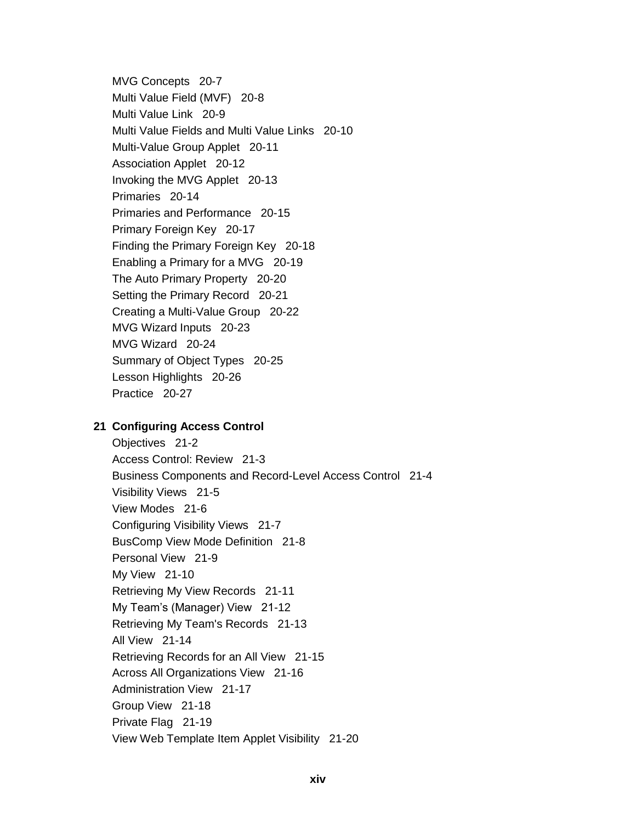MVG Concepts 20-7 Multi Value Field (MVF) 20-8 Multi Value Link 20-9 Multi Value Fields and Multi Value Links 20-10 Multi-Value Group Applet 20-11 **Association Applet 20-12** Invoking the MVG Applet 20-13 Primaries 20-14 Primaries and Performance 20-15 Primary Foreign Key 20-17 Finding the Primary Foreign Key 20-18 Enabling a Primary for a MVG 20-19 The Auto Primary Property 20-20 Setting the Primary Record 20-21 Creating a Multi-Value Group 20-22 MVG Wizard Inputs 20-23 MVG Wizard 20-24 Summary of Object Types 20-25 Lesson Highlights 20-26 Practice 20-27

## 21 Configuring Access Control

Objectives 21-2 Access Control: Review 21-3 Business Components and Record-Level Access Control 21-4 Visibility Views 21-5 View Modes 21-6 Configuring Visibility Views 21-7 BusComp View Mode Definition 21-8 Personal View 21-9 My View 21-10 Retrieving My View Records 21-11 My Team's (Manager) View 21-12 Retrieving My Team's Records 21-13 All View 21-14 Retrieving Records for an All View 21-15 Across All Organizations View 21-16 Administration View 21-17 Group View 21-18 Private Flag 21-19 View Web Template Item Applet Visibility 21-20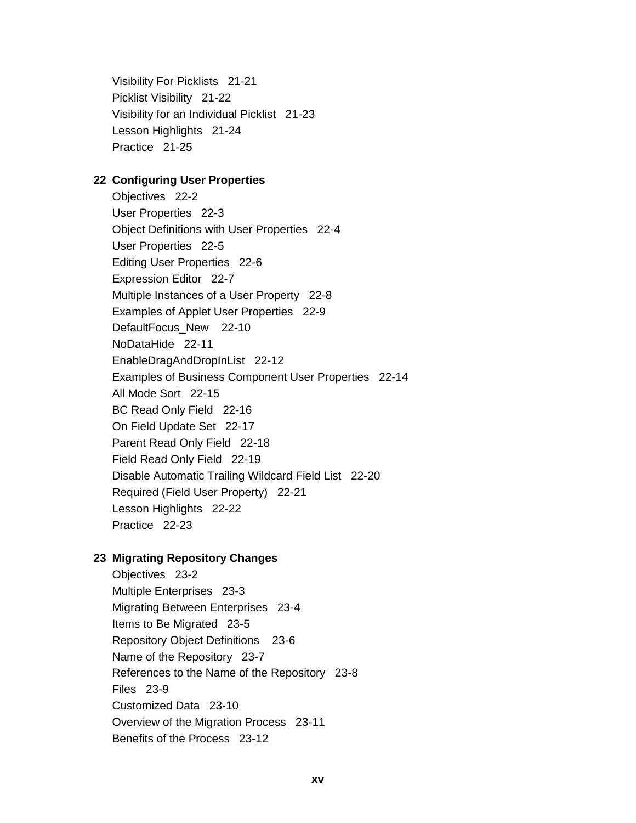Visibility For Picklists 21-21 Picklist Visibility 21-22 Visibility for an Individual Picklist 21-23 Lesson Highlights 21-24 Practice 21-25

#### 22 Configuring User Properties

Objectives 22-2 User Properties 22-3 Object Definitions with User Properties 22-4 User Properties 22-5 Editing User Properties 22-6 Expression Editor 22-7 Multiple Instances of a User Property 22-8 Examples of Applet User Properties 22-9 DefaultFocus New 22-10 NoDataHide 22-11 EnableDragAndDropInList 22-12 Examples of Business Component User Properties 22-14 All Mode Sort 22-15 BC Read Only Field 22-16 On Field Update Set 22-17 Parent Read Only Field 22-18 Field Read Only Field 22-19 Disable Automatic Trailing Wildcard Field List 22-20 Required (Field User Property) 22-21 Lesson Highlights 22-22 Practice 22-23

## 23 Migrating Repository Changes

Objectives 23-2 Multiple Enterprises 23-3 Migrating Between Enterprises 23-4 Items to Be Migrated 23-5 Repository Object Definitions 23-6 Name of the Repository 23-7 References to the Name of the Repository 23-8 Files 23-9 Customized Data 23-10 Overview of the Migration Process 23-11 Benefits of the Process 23-12